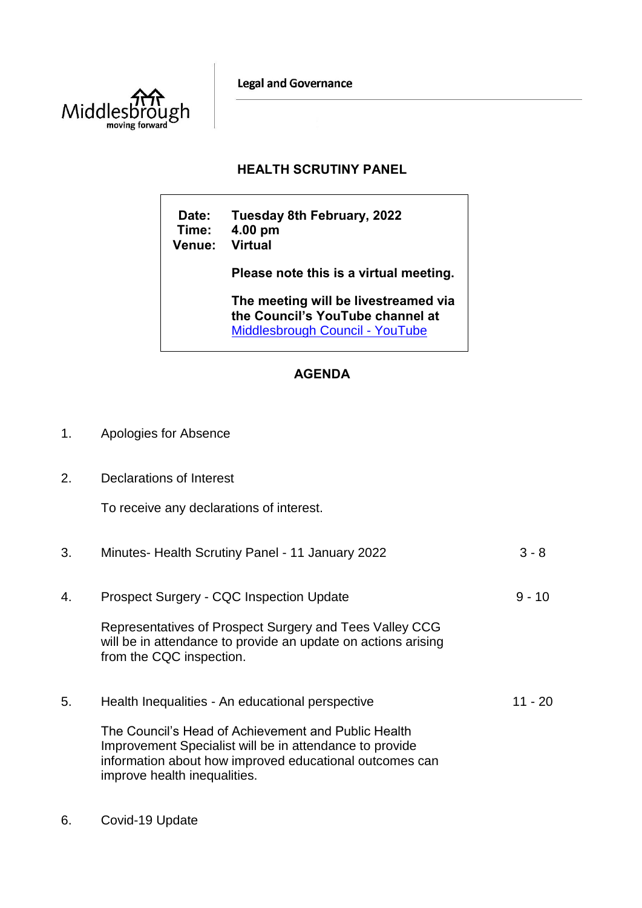**Legal and Governance** 



## **HEALTH SCRUTINY PANEL**

**Date: Tuesday 8th February, 2022 Time: 4.00 pm Venue: Please note this is a virtual meeting. The meeting will be livestreamed via the Council's YouTube channel at**  [Middlesbrough Council -](https://www.youtube.com/user/middlesbroughcouncil) YouTube

## **AGENDA**

- 1. Apologies for Absence
- 2. Declarations of Interest

To receive any declarations of interest.

| 3. | Minutes-Health Scrutiny Panel - 11 January 2022                                                                                                                                                           | $3 - 8$  |
|----|-----------------------------------------------------------------------------------------------------------------------------------------------------------------------------------------------------------|----------|
| 4. | Prospect Surgery - CQC Inspection Update                                                                                                                                                                  | $9 - 10$ |
|    | Representatives of Prospect Surgery and Tees Valley CCG<br>will be in attendance to provide an update on actions arising<br>from the CQC inspection.                                                      |          |
| 5. | Health Inequalities - An educational perspective                                                                                                                                                          | 11 - 20  |
|    | The Council's Head of Achievement and Public Health<br>Improvement Specialist will be in attendance to provide<br>information about how improved educational outcomes can<br>improve health inequalities. |          |

6. Covid-19 Update